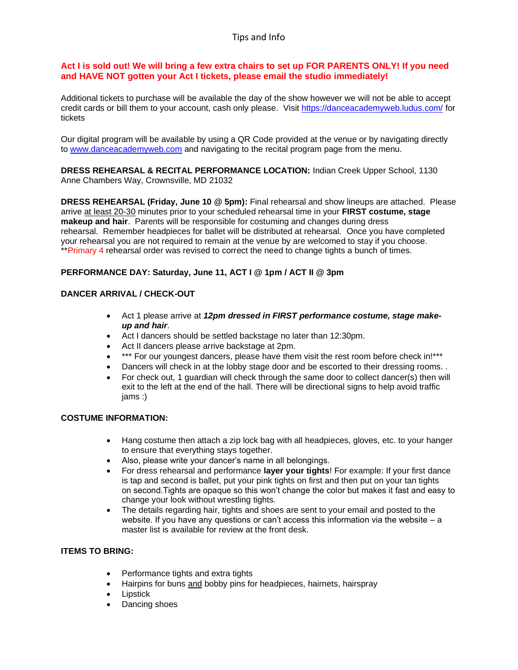# Tips and Info

#### **Act I is sold out! We will bring a few extra chairs to set up FOR PARENTS ONLY! If you need and HAVE NOT gotten your Act I tickets, please email the studio immediately!**

Additional tickets to purchase will be available the day of the show however we will not be able to accept credit cards or bill them to your account, cash only please. Visit <https://danceacademyweb.ludus.com/> for tickets

Our digital program will be available by using a QR Code provided at the venue or by navigating directly to [www.danceacademyweb.com](http://www.danceacademyweb.com/) and navigating to the recital program page from the menu.

**DRESS REHEARSAL & RECITAL PERFORMANCE LOCATION:** Indian Creek Upper School, 1130 Anne Chambers Way, Crownsville, MD 21032

**DRESS REHEARSAL (Friday, June 10 @ 5pm):** Final rehearsal and show lineups are attached. Please arrive at least 20-30 minutes prior to your scheduled rehearsal time in your **FIRST costume, stage makeup and hair**. Parents will be responsible for costuming and changes during dress rehearsal. Remember headpieces for ballet will be distributed at rehearsal. Once you have completed your rehearsal you are not required to remain at the venue by are welcomed to stay if you choose. \*\*Primary 4 rehearsal order was revised to correct the need to change tights a bunch of times.

## **PERFORMANCE DAY: Saturday, June 11, ACT I @ 1pm / ACT II @ 3pm**

#### **DANCER ARRIVAL / CHECK-OUT**

- Act 1 please arrive at *12pm dressed in FIRST performance costume, stage makeup and hair*.
- Act I dancers should be settled backstage no later than 12:30pm.
- Act II dancers please arrive backstage at 2pm.
- \*\*\* For our youngest dancers, please have them visit the rest room before check in!\*\*\*
- Dancers will check in at the lobby stage door and be escorted to their dressing rooms. .
- For check out, 1 guardian will check through the same door to collect dancer(s) then will exit to the left at the end of the hall. There will be directional signs to help avoid traffic jams :)

### **COSTUME INFORMATION:**

- Hang costume then attach a zip lock bag with all headpieces, gloves, etc. to your hanger to ensure that everything stays together.
- Also, please write your dancer's name in all belongings.
- For dress rehearsal and performance **layer your tights**! For example: If your first dance is tap and second is ballet, put your pink tights on first and then put on your tan tights on second.Tights are opaque so this won't change the color but makes it fast and easy to change your look without wrestling tights.
- The details regarding hair, tights and shoes are sent to your email and posted to the website. If you have any questions or can't access this information via the website – a master list is available for review at the front desk.

## **ITEMS TO BRING:**

- Performance tights and extra tights
- Hairpins for buns and bobby pins for headpieces, hairnets, hairspray
- Lipstick
- Dancing shoes